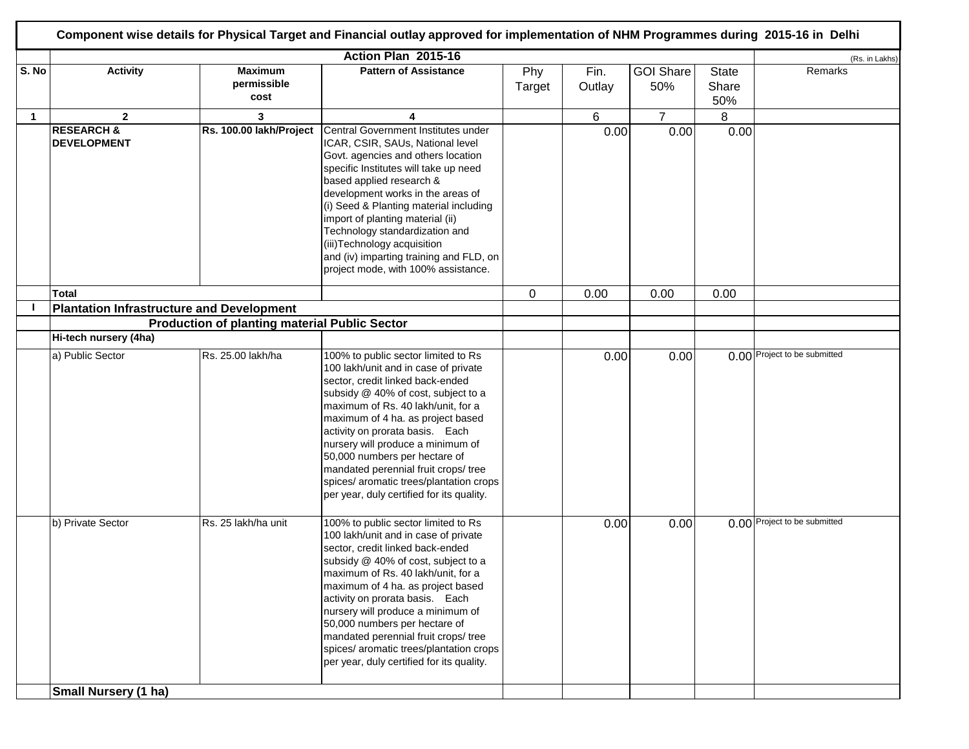|             | Action Plan 2015-16                                  |                                       |                                                                                                                                                                                                                                                                                                                                                                                                                                                                            |               |                |                         |                              | (Rs. in Lakhs)               |
|-------------|------------------------------------------------------|---------------------------------------|----------------------------------------------------------------------------------------------------------------------------------------------------------------------------------------------------------------------------------------------------------------------------------------------------------------------------------------------------------------------------------------------------------------------------------------------------------------------------|---------------|----------------|-------------------------|------------------------------|------------------------------|
| S. No       | <b>Activity</b>                                      | <b>Maximum</b><br>permissible<br>cost | <b>Pattern of Assistance</b>                                                                                                                                                                                                                                                                                                                                                                                                                                               | Phy<br>Target | Fin.<br>Outlay | <b>GOI Share</b><br>50% | <b>State</b><br>Share<br>50% | Remarks                      |
| $\mathbf 1$ | $\overline{2}$                                       | 3                                     | 4                                                                                                                                                                                                                                                                                                                                                                                                                                                                          |               | 6              | $\overline{7}$          | 8                            |                              |
|             | <b>RESEARCH &amp;</b><br><b>DEVELOPMENT</b>          | Rs. 100.00 lakh/Project               | Central Government Institutes under<br>ICAR, CSIR, SAUs, National level<br>Govt. agencies and others location<br>specific Institutes will take up need<br>based applied research &<br>development works in the areas of<br>(i) Seed & Planting material including<br>import of planting material (ii)<br>Technology standardization and<br>(iii) Technology acquisition<br>and (iv) imparting training and FLD, on<br>project mode, with 100% assistance.                  |               | 0.00           | 0.00                    | 0.00                         |                              |
|             | Total                                                |                                       |                                                                                                                                                                                                                                                                                                                                                                                                                                                                            | 0             | 0.00           | 0.00                    | 0.00                         |                              |
|             | <b>Plantation Infrastructure and Development</b>     |                                       |                                                                                                                                                                                                                                                                                                                                                                                                                                                                            |               |                |                         |                              |                              |
|             | <b>Production of planting material Public Sector</b> |                                       |                                                                                                                                                                                                                                                                                                                                                                                                                                                                            |               |                |                         |                              |                              |
|             | Hi-tech nursery (4ha)                                |                                       |                                                                                                                                                                                                                                                                                                                                                                                                                                                                            |               |                |                         |                              |                              |
|             | a) Public Sector                                     | Rs. 25.00 lakh/ha                     | 100% to public sector limited to Rs<br>100 lakh/unit and in case of private<br>sector, credit linked back-ended<br>subsidy @ 40% of cost, subject to a<br>maximum of Rs. 40 lakh/unit, for a<br>maximum of 4 ha. as project based<br>activity on prorata basis. Each<br>nursery will produce a minimum of<br>50,000 numbers per hectare of<br>mandated perennial fruit crops/ tree<br>spices/ aromatic trees/plantation crops<br>per year, duly certified for its quality. |               | 0.00           | 0.00                    |                              | 0.00 Project to be submitted |
|             | b) Private Sector                                    | Rs. 25 lakh/ha unit                   | 100% to public sector limited to Rs<br>100 lakh/unit and in case of private<br>sector, credit linked back-ended<br>subsidy @ 40% of cost, subject to a<br>maximum of Rs. 40 lakh/unit, for a<br>maximum of 4 ha. as project based<br>activity on prorata basis. Each<br>nursery will produce a minimum of<br>50,000 numbers per hectare of<br>mandated perennial fruit crops/ tree<br>spices/ aromatic trees/plantation crops<br>per year, duly certified for its quality. |               | 0.00           | 0.00                    |                              | 0.00 Project to be submitted |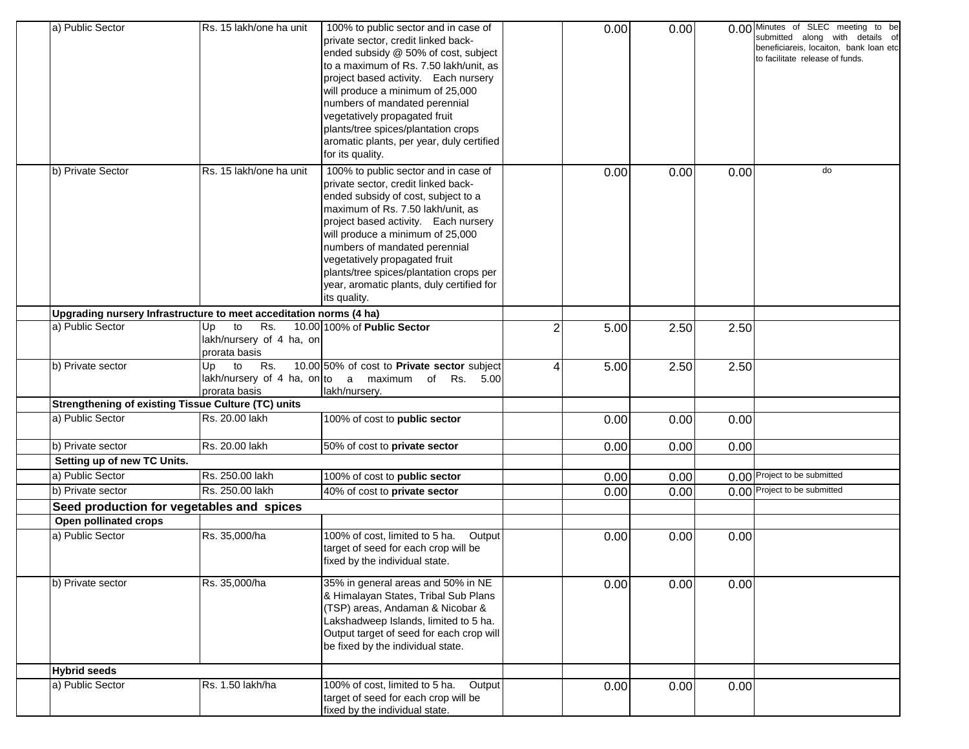| a) Public Sector                                                   | Rs. 15 lakh/one ha unit                                      | 100% to public sector and in case of<br>private sector, credit linked back-<br>ended subsidy @ 50% of cost, subject<br>to a maximum of Rs. 7.50 lakh/unit, as<br>project based activity. Each nursery<br>will produce a minimum of 25,000<br>numbers of mandated perennial<br>vegetatively propagated fruit<br>plants/tree spices/plantation crops                                                            |                | 0.00 | 0.00 |      | 0.00 Minutes of SLEC meeting to be<br>submitted along with details of<br>beneficiareis, locaiton, bank loan etc<br>to facilitate release of funds. |
|--------------------------------------------------------------------|--------------------------------------------------------------|---------------------------------------------------------------------------------------------------------------------------------------------------------------------------------------------------------------------------------------------------------------------------------------------------------------------------------------------------------------------------------------------------------------|----------------|------|------|------|----------------------------------------------------------------------------------------------------------------------------------------------------|
|                                                                    |                                                              | aromatic plants, per year, duly certified<br>for its quality.                                                                                                                                                                                                                                                                                                                                                 |                |      |      |      |                                                                                                                                                    |
| b) Private Sector                                                  | Rs. 15 lakh/one ha unit                                      | 100% to public sector and in case of<br>private sector, credit linked back-<br>ended subsidy of cost, subject to a<br>maximum of Rs. 7.50 lakh/unit, as<br>project based activity. Each nursery<br>will produce a minimum of 25,000<br>numbers of mandated perennial<br>vegetatively propagated fruit<br>plants/tree spices/plantation crops per<br>year, aromatic plants, duly certified for<br>its quality. |                | 0.00 | 0.00 | 0.00 | do                                                                                                                                                 |
| Upgrading nursery Infrastructure to meet acceditation norms (4 ha) |                                                              |                                                                                                                                                                                                                                                                                                                                                                                                               |                |      |      |      |                                                                                                                                                    |
| a) Public Sector                                                   | to<br>Rs.<br>Up<br>lakh/nursery of 4 ha, on<br>prorata basis | 10.00 100% of Public Sector                                                                                                                                                                                                                                                                                                                                                                                   | $\overline{2}$ | 5.00 | 2.50 | 2.50 |                                                                                                                                                    |
| b) Private sector                                                  | to<br>Up<br>Rs.<br>prorata basis                             | 10.00 50% of cost to Private sector subject<br>lakh/nursery of 4 ha, on to a maximum of Rs. 5.00<br>lakh/nursery.                                                                                                                                                                                                                                                                                             | 4              | 5.00 | 2.50 | 2.50 |                                                                                                                                                    |
| <b>Strengthening of existing Tissue Culture (TC) units</b>         |                                                              |                                                                                                                                                                                                                                                                                                                                                                                                               |                |      |      |      |                                                                                                                                                    |
| a) Public Sector                                                   | Rs. 20.00 lakh                                               | 100% of cost to public sector                                                                                                                                                                                                                                                                                                                                                                                 |                | 0.00 | 0.00 | 0.00 |                                                                                                                                                    |
| b) Private sector                                                  | Rs. 20.00 lakh                                               | 50% of cost to private sector                                                                                                                                                                                                                                                                                                                                                                                 |                | 0.00 | 0.00 | 0.00 |                                                                                                                                                    |
| Setting up of new TC Units.                                        |                                                              |                                                                                                                                                                                                                                                                                                                                                                                                               |                |      |      |      |                                                                                                                                                    |
| a) Public Sector                                                   | Rs. 250.00 lakh                                              | 100% of cost to public sector                                                                                                                                                                                                                                                                                                                                                                                 |                | 0.00 | 0.00 |      | 0.00 Project to be submitted                                                                                                                       |
| b) Private sector                                                  | Rs. 250.00 lakh                                              | 40% of cost to private sector                                                                                                                                                                                                                                                                                                                                                                                 |                | 0.00 | 0.00 |      | 0.00 Project to be submitted                                                                                                                       |
| Seed production for vegetables and spices                          |                                                              |                                                                                                                                                                                                                                                                                                                                                                                                               |                |      |      |      |                                                                                                                                                    |
| Open pollinated crops                                              |                                                              |                                                                                                                                                                                                                                                                                                                                                                                                               |                |      |      |      |                                                                                                                                                    |
| a) Public Sector                                                   | Rs. 35,000/ha                                                | 100% of cost, limited to 5 ha.<br>Output<br>target of seed for each crop will be<br>fixed by the individual state.                                                                                                                                                                                                                                                                                            |                | 0.00 | 0.00 | 0.00 |                                                                                                                                                    |
| b) Private sector                                                  | Rs. 35,000/ha                                                | 35% in general areas and 50% in NE<br>& Himalayan States, Tribal Sub Plans<br>(TSP) areas, Andaman & Nicobar &<br>Lakshadweep Islands, limited to 5 ha.<br>Output target of seed for each crop will<br>be fixed by the individual state.                                                                                                                                                                      |                | 0.00 | 0.00 | 0.00 |                                                                                                                                                    |
| <b>Hybrid seeds</b>                                                |                                                              |                                                                                                                                                                                                                                                                                                                                                                                                               |                |      |      |      |                                                                                                                                                    |
| a) Public Sector                                                   | Rs. 1.50 lakh/ha                                             | 100% of cost, limited to 5 ha.<br>Output<br>target of seed for each crop will be<br>fixed by the individual state.                                                                                                                                                                                                                                                                                            |                | 0.00 | 0.00 | 0.00 |                                                                                                                                                    |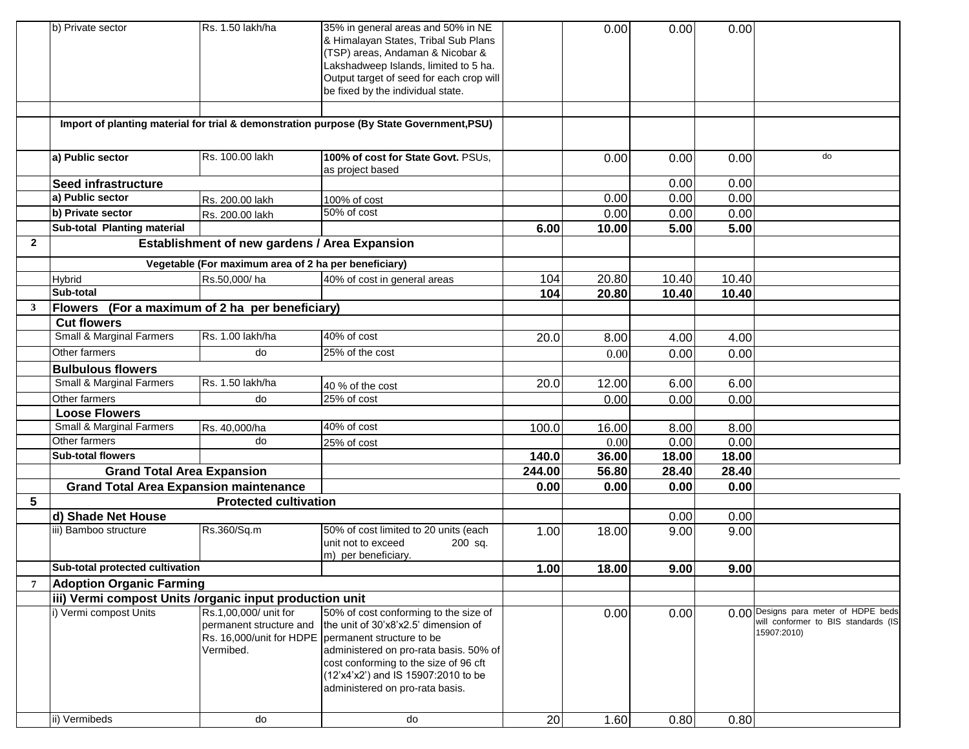|              | b) Private sector                                       | Rs. 1.50 lakh/ha                                     | 35% in general areas and 50% in NE                                                       |        | 0.00  | 0.00  | 0.00  |                                      |
|--------------|---------------------------------------------------------|------------------------------------------------------|------------------------------------------------------------------------------------------|--------|-------|-------|-------|--------------------------------------|
|              |                                                         |                                                      | & Himalayan States, Tribal Sub Plans                                                     |        |       |       |       |                                      |
|              |                                                         |                                                      | (TSP) areas, Andaman & Nicobar &                                                         |        |       |       |       |                                      |
|              |                                                         |                                                      |                                                                                          |        |       |       |       |                                      |
|              |                                                         |                                                      | Lakshadweep Islands, limited to 5 ha.                                                    |        |       |       |       |                                      |
|              |                                                         |                                                      | Output target of seed for each crop will<br>be fixed by the individual state.            |        |       |       |       |                                      |
|              |                                                         |                                                      |                                                                                          |        |       |       |       |                                      |
|              |                                                         |                                                      |                                                                                          |        |       |       |       |                                      |
|              |                                                         |                                                      | Import of planting material for trial & demonstration purpose (By State Government, PSU) |        |       |       |       |                                      |
|              | a) Public sector                                        | Rs. 100.00 lakh                                      | 100% of cost for State Govt. PSUs,                                                       |        | 0.00  | 0.00  | 0.00  | do                                   |
|              |                                                         |                                                      | as project based                                                                         |        |       |       |       |                                      |
|              | <b>Seed infrastructure</b>                              |                                                      |                                                                                          |        |       | 0.00  | 0.00  |                                      |
|              | a) Public sector                                        | Rs. 200.00 lakh                                      | 100% of cost                                                                             |        | 0.00  | 0.00  | 0.00  |                                      |
|              | b) Private sector                                       | Rs. 200.00 lakh                                      | 50% of cost                                                                              |        | 0.00  | 0.00  | 0.00  |                                      |
|              | Sub-total Planting material                             |                                                      |                                                                                          | 6.00   | 10.00 | 5.00  | 5.00  |                                      |
| $\mathbf{2}$ |                                                         | Establishment of new gardens / Area Expansion        |                                                                                          |        |       |       |       |                                      |
|              |                                                         |                                                      |                                                                                          |        |       |       |       |                                      |
|              |                                                         | Vegetable (For maximum area of 2 ha per beneficiary) |                                                                                          |        |       |       |       |                                      |
|              | Hybrid                                                  | Rs.50,000/ha                                         | 40% of cost in general areas                                                             | 104    | 20.80 | 10.40 | 10.40 |                                      |
|              | Sub-total                                               |                                                      |                                                                                          | 104    | 20.80 | 10.40 | 10.40 |                                      |
| 3            | Flowers (For a maximum of 2 ha per beneficiary)         |                                                      |                                                                                          |        |       |       |       |                                      |
|              | <b>Cut flowers</b>                                      |                                                      |                                                                                          |        |       |       |       |                                      |
|              | <b>Small &amp; Marginal Farmers</b>                     | Rs. 1.00 lakh/ha                                     | 40% of cost                                                                              | 20.0   | 8.00  | 4.00  | 4.00  |                                      |
|              | Other farmers                                           | do                                                   | 25% of the cost                                                                          |        | 0.00  | 0.00  | 0.00  |                                      |
|              | <b>Bulbulous flowers</b>                                |                                                      |                                                                                          |        |       |       |       |                                      |
|              | Small & Marginal Farmers                                | Rs. 1.50 lakh/ha                                     | 40 % of the cost                                                                         | 20.0   | 12.00 | 6.00  | 6.00  |                                      |
|              | Other farmers                                           | do                                                   | 25% of cost                                                                              |        | 0.00  | 0.00  | 0.00  |                                      |
|              | <b>Loose Flowers</b>                                    |                                                      |                                                                                          |        |       |       |       |                                      |
|              | Small & Marginal Farmers                                | Rs. 40,000/ha                                        | 40% of cost                                                                              | 100.0  | 16.00 | 8.00  | 8.00  |                                      |
|              | Other farmers                                           | do                                                   | 25% of cost                                                                              |        | 0.00  | 0.00  | 0.00  |                                      |
|              | <b>Sub-total flowers</b>                                |                                                      |                                                                                          | 140.0  | 36.00 | 18.00 | 18.00 |                                      |
|              | <b>Grand Total Area Expansion</b>                       |                                                      |                                                                                          | 244.00 | 56.80 | 28.40 | 28.40 |                                      |
|              | <b>Grand Total Area Expansion maintenance</b>           |                                                      |                                                                                          | 0.00   | 0.00  | 0.00  | 0.00  |                                      |
| 5            |                                                         | <b>Protected cultivation</b>                         |                                                                                          |        |       |       |       |                                      |
|              | d) Shade Net House                                      |                                                      |                                                                                          |        |       | 0.00  | 0.00  |                                      |
|              | iii) Bamboo structure                                   | Rs.360/Sq.m                                          | 50% of cost limited to 20 units (each                                                    | 1.00   | 18.00 | 9.00  | 9.00  |                                      |
|              |                                                         |                                                      | unit not to exceed<br>200 sq.                                                            |        |       |       |       |                                      |
|              |                                                         |                                                      | m) per beneficiary.                                                                      |        |       |       |       |                                      |
|              | Sub-total protected cultivation                         |                                                      |                                                                                          | 1.00   | 18.00 | 9.00  | 9.00  |                                      |
|              | <b>Adoption Organic Farming</b>                         |                                                      |                                                                                          |        |       |       |       |                                      |
|              | iii) Vermi compost Units /organic input production unit |                                                      |                                                                                          |        |       |       |       |                                      |
|              | i) Vermi compost Units                                  | Rs.1,00,000/ unit for                                | 50% of cost conforming to the size of                                                    |        | 0.00  | 0.00  |       | 0.00 Designs para meter of HDPE beds |
|              |                                                         | permanent structure and                              | the unit of 30'x8'x2.5' dimension of                                                     |        |       |       |       | will conformer to BIS standards (IS  |
|              |                                                         |                                                      | Rs. 16,000/unit for HDPE   permanent structure to be                                     |        |       |       |       | 15907:2010)                          |
|              |                                                         | Vermibed.                                            | administered on pro-rata basis. 50% of                                                   |        |       |       |       |                                      |
|              |                                                         |                                                      | cost conforming to the size of 96 cft                                                    |        |       |       |       |                                      |
|              |                                                         |                                                      | (12'x4'x2') and IS 15907:2010 to be                                                      |        |       |       |       |                                      |
|              |                                                         |                                                      | administered on pro-rata basis.                                                          |        |       |       |       |                                      |
|              |                                                         |                                                      |                                                                                          |        |       |       |       |                                      |
|              | ii) Vermibeds                                           | do                                                   | do                                                                                       | 20     | 1.60  | 0.80  | 0.80  |                                      |